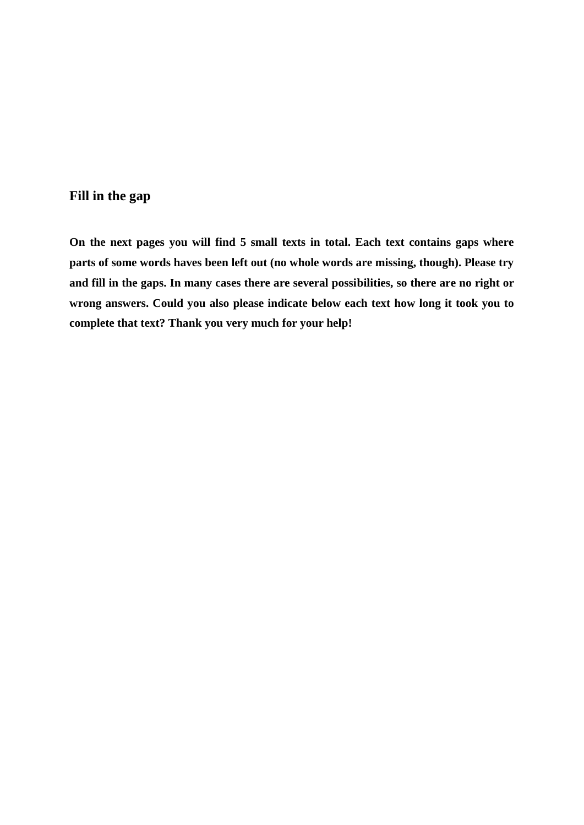## **Fill in the gap**

**On the next pages you will find 5 small texts in total. Each text contains gaps where parts of some words haves been left out (no whole words are missing, though). Please try and fill in the gaps. In many cases there are several possibilities, so there are no right or wrong answers. Could you also please indicate below each text how long it took you to complete that text? Thank you very much for your help!**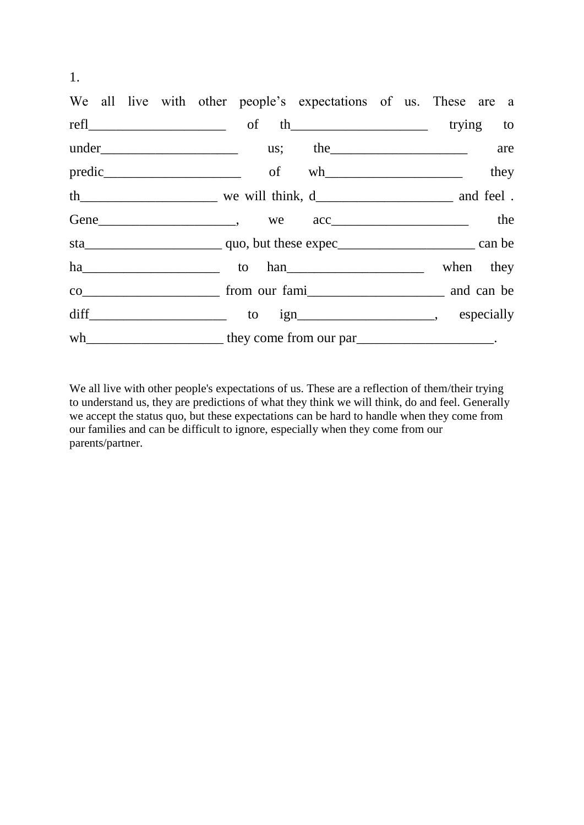|  |  | We all live with other people's expectations of us. These are a                 |  |  |      |
|--|--|---------------------------------------------------------------------------------|--|--|------|
|  |  |                                                                                 |  |  |      |
|  |  |                                                                                 |  |  | are  |
|  |  |                                                                                 |  |  | they |
|  |  |                                                                                 |  |  |      |
|  |  | Gene  _______________________, we acc ____________________ the                  |  |  |      |
|  |  |                                                                                 |  |  |      |
|  |  |                                                                                 |  |  |      |
|  |  |                                                                                 |  |  |      |
|  |  |                                                                                 |  |  |      |
|  |  | wh___________________________ they come from our par__________________________. |  |  |      |

We all live with other people's expectations of us. These are a reflection of them/their trying to understand us, they are predictions of what they think we will think, do and feel. Generally we accept the status quo, but these expectations can be hard to handle when they come from our families and can be difficult to ignore, especially when they come from our parents/partner.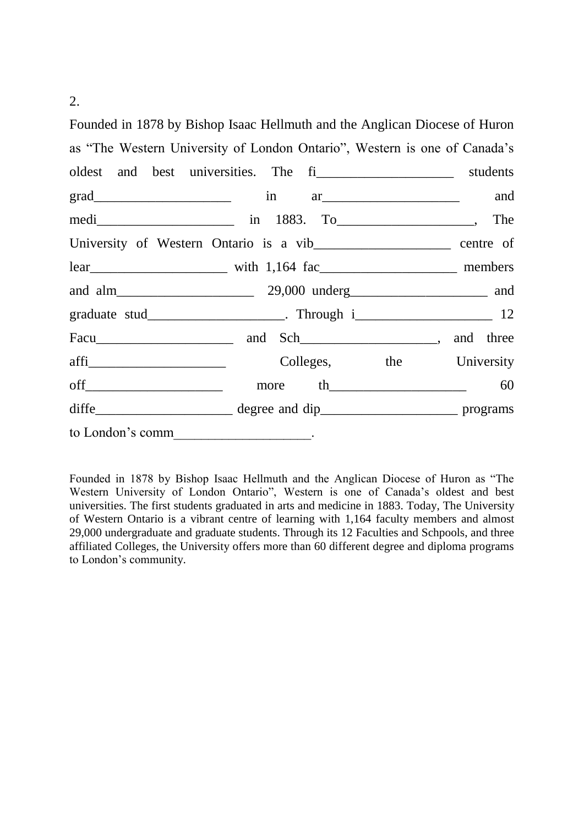2.

Founded in 1878 by Bishop Isaac Hellmuth and the Anglican Diocese of Huron as "The Western University of London Ontario", Western is one of Canada's oldest and best universities. The fill the students grad\_\_\_\_\_\_\_\_\_\_\_\_\_\_\_\_\_\_\_\_ in ar\_\_\_\_\_\_\_\_\_\_\_\_\_\_\_\_\_\_\_\_ and medi\_\_\_\_\_\_\_\_\_\_\_\_\_\_\_\_\_\_\_\_ in 1883. To\_\_\_\_\_\_\_\_\_\_\_\_\_\_\_\_\_\_\_\_, The University of Western Ontario is a vib centre of lear\_\_\_\_\_\_\_\_\_\_\_\_\_\_\_\_\_\_\_\_ with 1,164 fac\_\_\_\_\_\_\_\_\_\_\_\_\_\_\_\_\_\_\_\_ members and alm \_\_\_\_\_\_\_\_\_\_\_\_\_\_\_\_\_\_\_\_\_\_\_\_ 29,000 underg\_\_\_\_\_\_\_\_\_\_\_\_\_\_\_\_\_\_\_\_\_\_\_\_\_ and graduate stud\_\_\_\_\_\_\_\_\_\_\_\_\_\_\_\_\_\_\_\_\_. Through i\_\_\_\_\_\_\_\_\_\_\_\_\_\_\_\_\_\_\_\_\_\_\_\_\_\_\_ 12 Facu and Sch\_\_\_\_\_\_\_\_\_\_\_\_\_\_, and three afficial colleges, the University off\_\_\_\_\_\_\_\_\_\_\_\_\_\_\_\_\_\_\_\_ more th\_\_\_\_\_\_\_\_\_\_\_\_\_\_\_\_\_\_\_\_ 60 diffe\_\_\_\_\_\_\_\_\_\_\_\_\_\_\_\_\_\_\_\_ degree and dip\_\_\_\_\_\_\_\_\_\_\_\_\_\_\_\_\_\_\_\_ programs to London's comm

Founded in 1878 by Bishop Isaac Hellmuth and the Anglican Diocese of Huron as "The Western University of London Ontario", Western is one of Canada's oldest and best universities. The first students graduated in arts and medicine in 1883. Today, The University of Western Ontario is a vibrant centre of learning with 1,164 faculty members and almost 29,000 undergraduate and graduate students. Through its 12 Faculties and Schpools, and three affiliated Colleges, the University offers more than 60 different degree and diploma programs to London's community.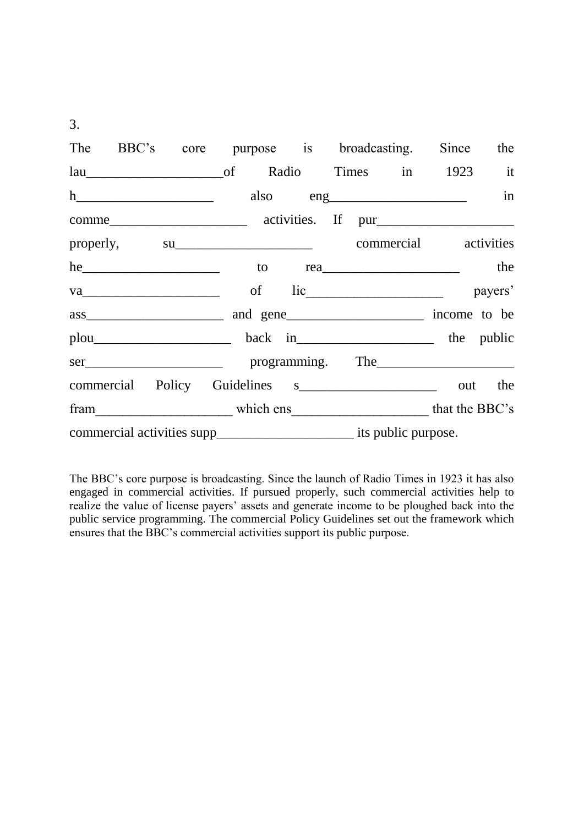$3.$ 

|  |  |  |  |  |  | The BBC's core purpose is broadcasting. Since the        |  |    |  |
|--|--|--|--|--|--|----------------------------------------------------------|--|----|--|
|  |  |  |  |  |  |                                                          |  |    |  |
|  |  |  |  |  |  | also eng                                                 |  | in |  |
|  |  |  |  |  |  |                                                          |  |    |  |
|  |  |  |  |  |  |                                                          |  |    |  |
|  |  |  |  |  |  | he to rea                                                |  |    |  |
|  |  |  |  |  |  | va payers' of lic payers'                                |  |    |  |
|  |  |  |  |  |  |                                                          |  |    |  |
|  |  |  |  |  |  |                                                          |  |    |  |
|  |  |  |  |  |  |                                                          |  |    |  |
|  |  |  |  |  |  | commercial Policy Guidelines s__________________ out the |  |    |  |
|  |  |  |  |  |  | fram which ens which ens that the BBC's                  |  |    |  |
|  |  |  |  |  |  |                                                          |  |    |  |

The BBC's core purpose is broadcasting. Since the launch of Radio Times in 1923 it has also engaged in commercial activities. If pursued properly, such commercial activities help to realize the value of license payers' assets and generate income to be ploughed back into the public service programming. The commercial Policy Guidelines set out the framework which ensures that the BBC's commercial activities support its public purpose.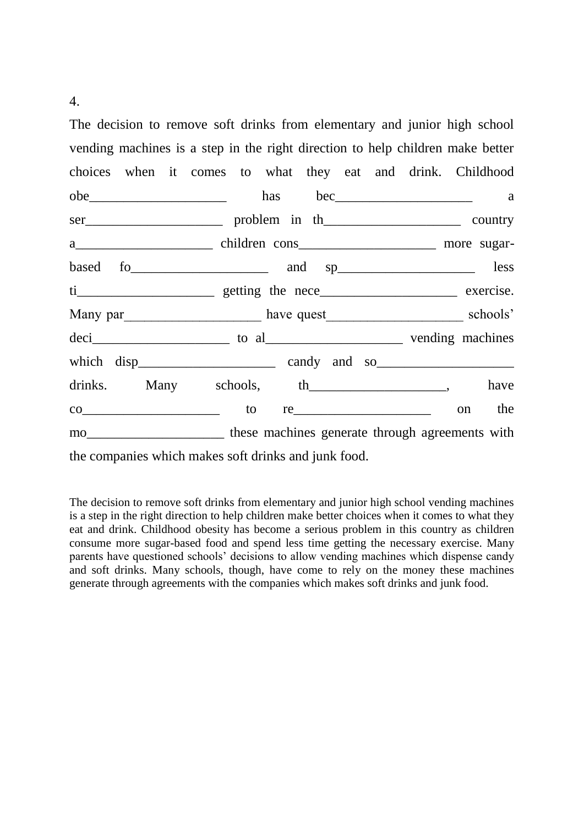The decision to remove soft drinks from elementary and junior high school vending machines is a step in the right direction to help children make better choices when it comes to what they eat and drink. Childhood obe has bec a ser problem in the country a<sup>nd</sup> and the constant children cons based fo\_\_\_\_\_\_\_\_\_\_\_\_\_\_\_\_\_\_\_\_ and sp\_\_\_\_\_\_\_\_\_\_\_\_\_\_\_\_\_\_\_\_ less ti\_\_\_\_\_\_\_\_\_\_\_\_\_\_\_\_\_\_\_\_ getting the nece\_\_\_\_\_\_\_\_\_\_\_\_\_\_\_\_\_\_\_\_ exercise. Many par have quest schools' deci to al to al vending machines which disp\_\_\_\_\_\_\_\_\_\_\_\_\_\_\_\_\_\_\_\_ candy and so\_\_\_\_\_\_\_\_\_\_\_\_\_\_\_\_\_\_\_\_ drinks. Many schools, th\_\_\_\_\_\_\_\_\_\_\_\_\_\_\_\_\_\_, have  $\text{co}$   $\hspace{1cm}$  to re $\hspace{1cm}$  to  $\hspace{1cm}$  re mo\_\_\_\_\_\_\_\_\_\_\_\_\_\_\_\_\_\_\_\_\_\_\_\_\_ these machines generate through agreements with the companies which makes soft drinks and junk food.

The decision to remove soft drinks from elementary and junior high school vending machines is a step in the right direction to help children make better choices when it comes to what they eat and drink. Childhood obesity has become a serious problem in this country as children consume more sugar-based food and spend less time getting the necessary exercise. Many parents have questioned schools' decisions to allow vending machines which dispense candy and soft drinks. Many schools, though, have come to rely on the money these machines generate through agreements with the companies which makes soft drinks and junk food.